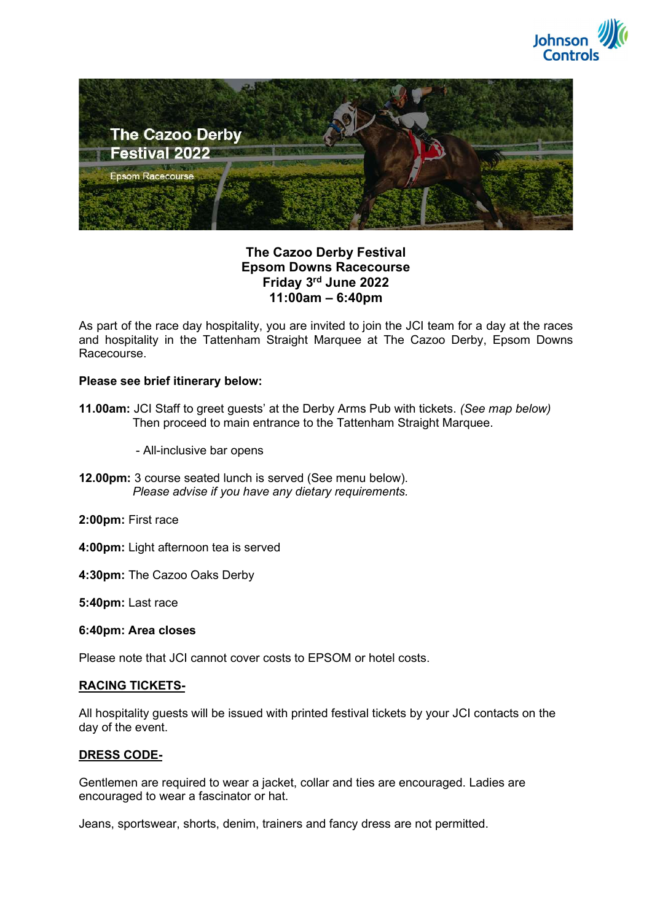



## The Cazoo Derby Festival Epsom Downs Racecourse Friday 3rd June 2022 11:00am – 6:40pm

As part of the race day hospitality, you are invited to join the JCI team for a day at the races and hospitality in the Tattenham Straight Marquee at The Cazoo Derby, Epsom Downs Racecourse.

### Please see brief itinerary below:

- 11.00am: JCI Staff to greet guests' at the Derby Arms Pub with tickets. (See map below) Then proceed to main entrance to the Tattenham Straight Marquee.
	- All-inclusive bar opens
- 12.00pm: 3 course seated lunch is served (See menu below). Please advise if you have any dietary requirements.
- 2:00pm: First race
- 4:00pm: Light afternoon tea is served
- 4:30pm: The Cazoo Oaks Derby
- 5:40pm: Last race
- 6:40pm: Area closes

Please note that JCI cannot cover costs to EPSOM or hotel costs.

## RACING TICKETS-

All hospitality guests will be issued with printed festival tickets by your JCI contacts on the day of the event.

## DRESS CODE-

Gentlemen are required to wear a jacket, collar and ties are encouraged. Ladies are encouraged to wear a fascinator or hat.

Jeans, sportswear, shorts, denim, trainers and fancy dress are not permitted.